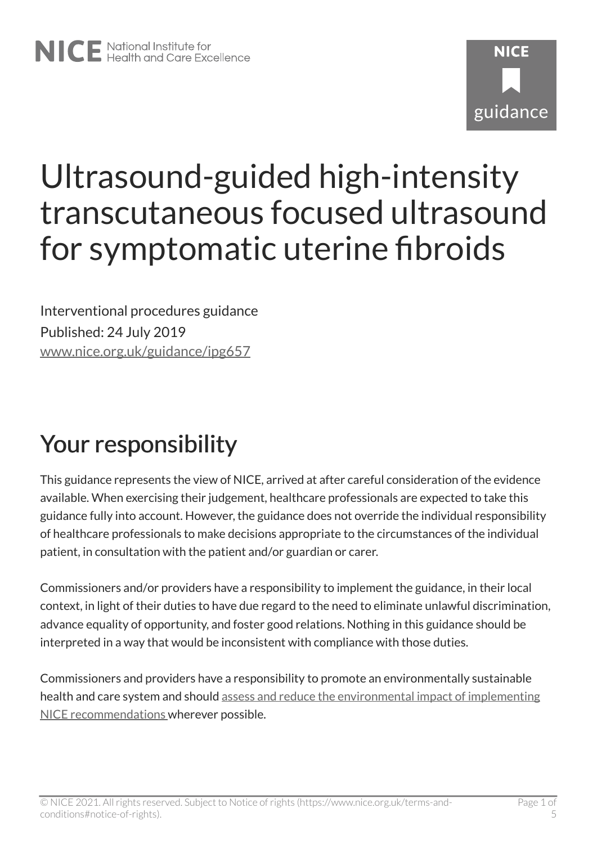# **NICF** guidance

# Ultrasound-guided high-intensity transcutaneous focused ultrasound for symptomatic uterine fibroids

Interventional procedures guidance Published: 24 July 2019 [www.nice.org.uk/guidance/ipg657](https://www.nice.org.uk/guidance/ipg657) 

# Your responsibility

This guidance represents the view of NICE, arrived at after careful consideration of the evidence available. When exercising their judgement, healthcare professionals are expected to take this guidance fully into account. However, the guidance does not override the individual responsibility of healthcare professionals to make decisions appropriate to the circumstances of the individual patient, in consultation with the patient and/or guardian or carer.

Commissioners and/or providers have a responsibility to implement the guidance, in their local context, in light of their duties to have due regard to the need to eliminate unlawful discrimination, advance equality of opportunity, and foster good relations. Nothing in this guidance should be interpreted in a way that would be inconsistent with compliance with those duties.

Commissioners and providers have a responsibility to promote an environmentally sustainable health and care system and should [assess and reduce the environmental impact of implementing](https://www.nice.org.uk/about/who-we-are/sustainability)  [NICE recommendations w](https://www.nice.org.uk/about/who-we-are/sustainability)herever possible.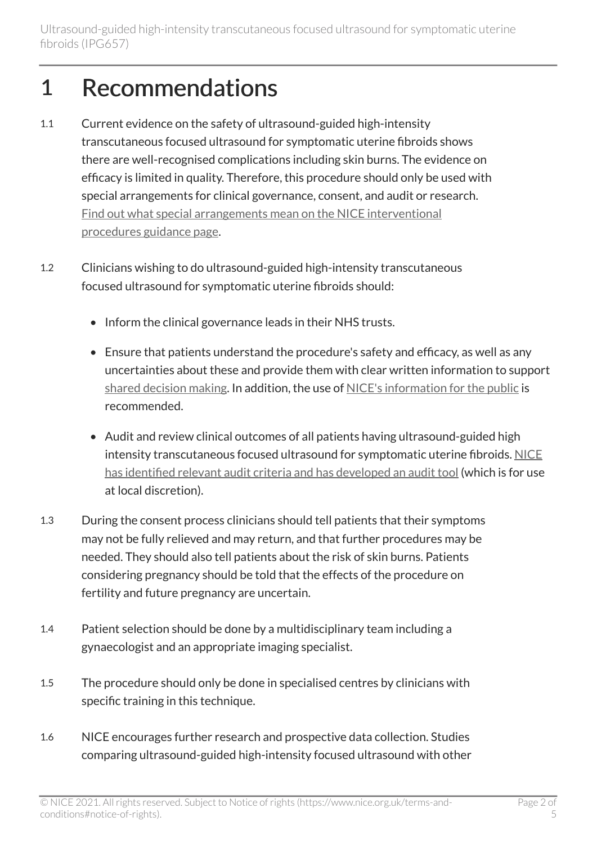#### 1 Recommendations

- 1.1 Current evidence on the safety of ultrasound-guided high-intensity transcutaneous focused ultrasound for symptomatic uterine fibroids shows there are well-recognised complications including skin burns. The evidence on efficacy is limited in quality. Therefore, this procedure should only be used with special arrangements for clinical governance, consent, and audit or research. [Find out what special arrangements mean on the NICE interventional](https://www.nice.org.uk/about/what-we-do/our-programmes/nice-guidance/interventional-procedures-guidance/recommendations)  [procedures guidance page.](https://www.nice.org.uk/about/what-we-do/our-programmes/nice-guidance/interventional-procedures-guidance/recommendations)
- 1.2 Clinicians wishing to do ultrasound-guided high-intensity transcutaneous focused ultrasound for symptomatic uterine fibroids should:
	- Inform the clinical governance leads in their NHS trusts.
	- Ensure that patients understand the procedure's safety and efficacy, as well as any uncertainties about these and provide them with clear written information to support [shared decision making](https://www.nice.org.uk/about/what-we-do/our-programmes/nice-guidance/nice-guidelines/shared-decision-making). In addition, the use of [NICE's information for the public](http://www.nice.org.uk/guidance/IPG657/InformationForPublic) is recommended.
	- Audit and review clinical outcomes of all patients having ultrasound-guided high intensity transcutaneous focused ultrasound for symptomatic uterine fibroids. [NICE](https://www.nice.org.uk/guidance/ipg657/resources) [has identified relevant audit criteria and has developed an audit tool](https://www.nice.org.uk/guidance/ipg657/resources) (which is for use at local discretion).
- 1.3 During the consent process clinicians should tell patients that their symptoms may not be fully relieved and may return, and that further procedures may be needed. They should also tell patients about the risk of skin burns. Patients considering pregnancy should be told that the effects of the procedure on fertility and future pregnancy are uncertain.
- 1.4 Patient selection should be done by a multidisciplinary team including a gynaecologist and an appropriate imaging specialist.
- 1.5 The procedure should only be done in specialised centres by clinicians with specific training in this technique.
- 1.6 NICE encourages further research and prospective data collection. Studies comparing ultrasound-guided high-intensity focused ultrasound with other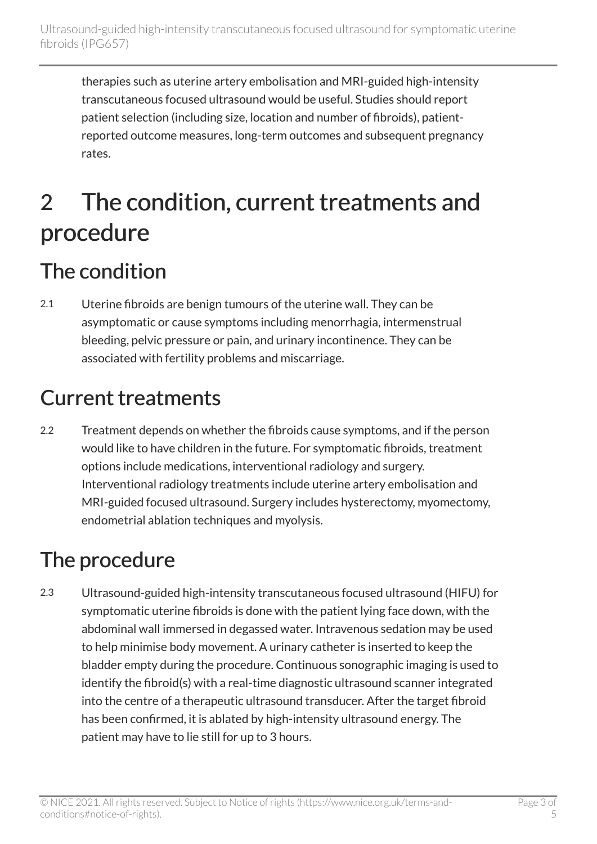therapies such as uterine artery embolisation and MRI-guided high-intensity transcutaneous focused ultrasound would be useful. Studies should report patient selection (including size, location and number of fibroids), patientreported outcome measures, long-term outcomes and subsequent pregnancy rates.

## 2 The condition, current treatments and procedure

#### The condition

2.1 Uterine fibroids are benign tumours of the uterine wall. They can be asymptomatic or cause symptoms including menorrhagia, intermenstrual bleeding, pelvic pressure or pain, and urinary incontinence. They can be associated with fertility problems and miscarriage.

#### Current treatments

2.2 Treatment depends on whether the fibroids cause symptoms, and if the person would like to have children in the future. For symptomatic fibroids, treatment options include medications, interventional radiology and surgery. Interventional radiology treatments include uterine artery embolisation and MRI-guided focused ultrasound. Surgery includes hysterectomy, myomectomy, endometrial ablation techniques and myolysis.

#### The procedure

2.3 Ultrasound-guided high-intensity transcutaneous focused ultrasound (HIFU) for symptomatic uterine fibroids is done with the patient lying face down, with the abdominal wall immersed in degassed water. Intravenous sedation may be used to help minimise body movement. A urinary catheter is inserted to keep the bladder empty during the procedure. Continuous sonographic imaging is used to identify the fibroid(s) with a real-time diagnostic ultrasound scanner integrated into the centre of a therapeutic ultrasound transducer. After the target fibroid has been confirmed, it is ablated by high-intensity ultrasound energy. The patient may have to lie still for up to 3 hours.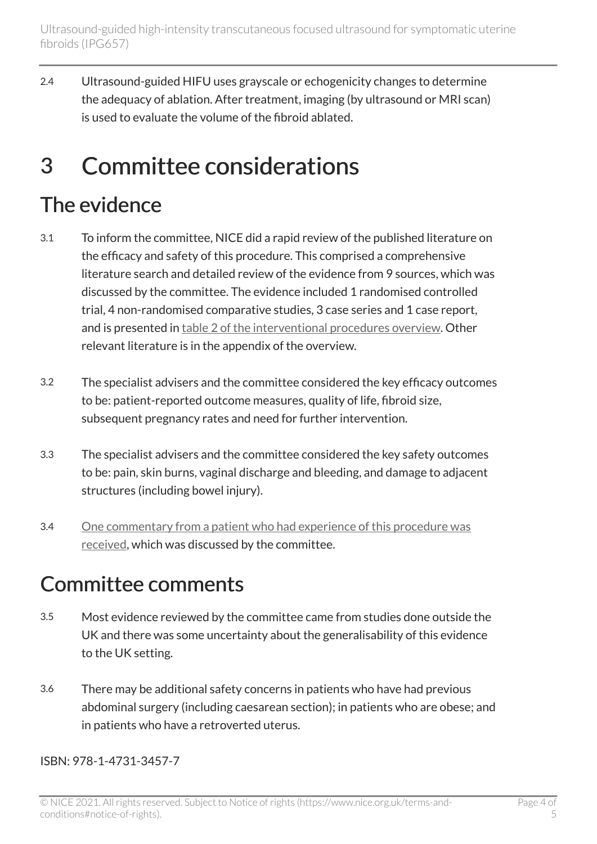2.4 Ultrasound-guided HIFU uses grayscale or echogenicity changes to determine the adequacy of ablation. After treatment, imaging (by ultrasound or MRI scan) is used to evaluate the volume of the fibroid ablated.

#### 3 Committee considerations

#### The evidence

- 3.1 To inform the committee, NICE did a rapid review of the published literature on the efficacy and safety of this procedure. This comprised a comprehensive literature search and detailed review of the evidence from 9 sources, which was discussed by the committee. The evidence included 1 randomised controlled trial, 4 non-randomised comparative studies, 3 case series and 1 case report, and is presented in table [2 of the interventional procedures overview](https://www.nice.org.uk/guidance/ipg657/evidence). Other relevant literature is in the appendix of the overview.
- 3.2 The specialist advisers and the committee considered the key efficacy outcomes to be: patient-reported outcome measures, quality of life, fibroid size, subsequent pregnancy rates and need for further intervention.
- 3.3 The specialist advisers and the committee considered the key safety outcomes to be: pain, skin burns, vaginal discharge and bleeding, and damage to adjacent structures (including bowel injury).
- 3.4 [One commentary from a patient who had experience of this procedure was](http://www.nice.org.uk/guidance/ipg657/evidence)  [received](http://www.nice.org.uk/guidance/ipg657/evidence), which was discussed by the committee.

#### Committee comments

- 3.5 Most evidence reviewed by the committee came from studies done outside the UK and there was some uncertainty about the generalisability of this evidence to the UK setting.
- 3.6 There may be additional safety concerns in patients who have had previous abdominal surgery (including caesarean section); in patients who are obese; and in patients who have a retroverted uterus.

ISBN: 978-1-4731-3457-7